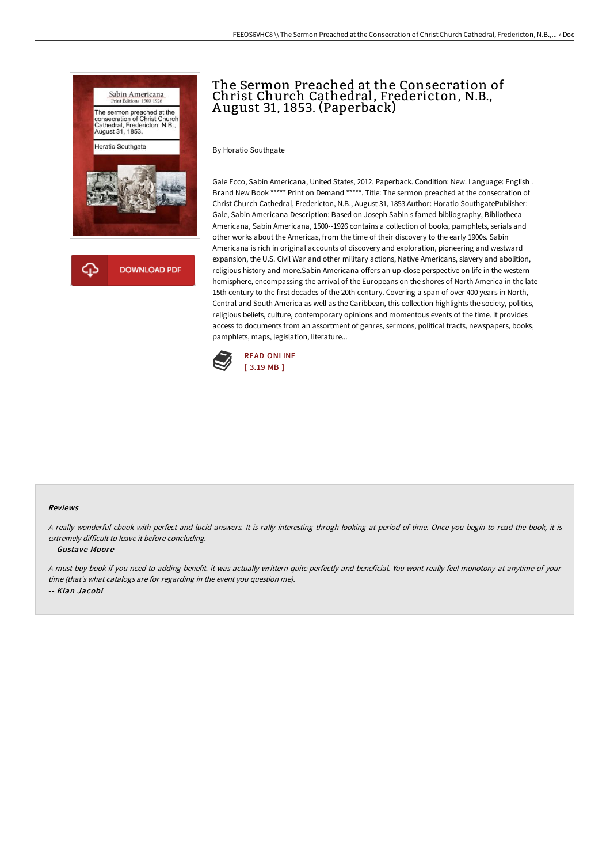

# The Sermon Preached at the Consecration of Christ Church Cathedral, Fredericton, N.B., A ugust 31, 1853. (Paperback)

By Horatio Southgate

Gale Ecco, Sabin Americana, United States, 2012. Paperback. Condition: New. Language: English . Brand New Book \*\*\*\*\* Print on Demand \*\*\*\*\*. Title: The sermon preached at the consecration of Christ Church Cathedral, Fredericton, N.B., August 31, 1853.Author: Horatio SouthgatePublisher: Gale, Sabin Americana Description: Based on Joseph Sabin s famed bibliography, Bibliotheca Americana, Sabin Americana, 1500--1926 contains a collection of books, pamphlets, serials and other works about the Americas, from the time of their discovery to the early 1900s. Sabin Americana is rich in original accounts of discovery and exploration, pioneering and westward expansion, the U.S. Civil War and other military actions, Native Americans, slavery and abolition, religious history and more.Sabin Americana offers an up-close perspective on life in the western hemisphere, encompassing the arrival of the Europeans on the shores of North America in the late 15th century to the first decades of the 20th century. Covering a span of over 400 years in North, Central and South America as well as the Caribbean, this collection highlights the society, politics, religious beliefs, culture, contemporary opinions and momentous events of the time. It provides access to documents from an assortment of genres, sermons, political tracts, newspapers, books, pamphlets, maps, legislation, literature...



#### Reviews

<sup>A</sup> really wonderful ebook with perfect and lucid answers. It is rally interesting throgh looking at period of time. Once you begin to read the book, it is extremely difficult to leave it before concluding.

#### -- Gustave Moore

<sup>A</sup> must buy book if you need to adding benefit. it was actually writtern quite perfectly and beneficial. You wont really feel monotony at anytime of your time (that's what catalogs are for regarding in the event you question me). -- Kian Jacobi